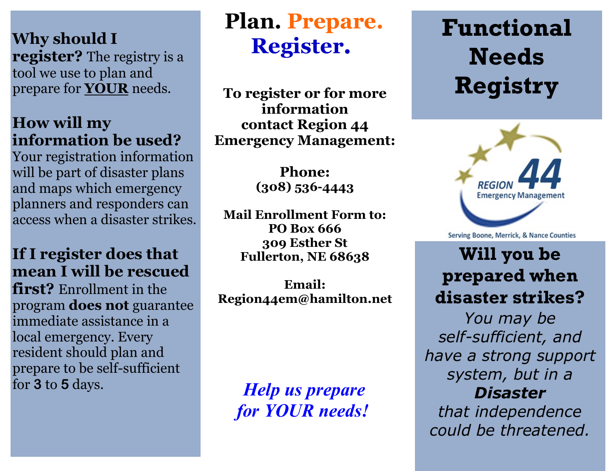**Why should I register?** The registry is a tool we use to plan and prepare for **YOUR** needs.

### **How will my information be used?**

Your registration information will be part of disaster plans and maps which emergency planners and responders can access when a disaster strikes.

### **If I register does that mean I will be rescued**

**first?** Enrollment in the program **does not** guarantee immediate assistance in a local emergency. Every resident should plan and prepare to be self-sufficient for **3** to **<sup>5</sup>** days. *Help us prepare* 

# **Plan. Prepare. Register**.

**To register or for more information contact Region 44 Emergency Management:**

> **Phone: (308) 536-4443**

**Mail Enrollment Form to: PO Box 666 309 Esther St Fullerton, NE 68638**

**Email: Region44em@hamilton.net**

*for YOUR needs!*

# **Functional Needs Registry**



Serving Boone, Merrick, & Nance Counties

## **Will you be prepared when disaster strikes?**

*You may be self-sufficient, and have a strong support system, but in a Disaster that independence could be threatened.*